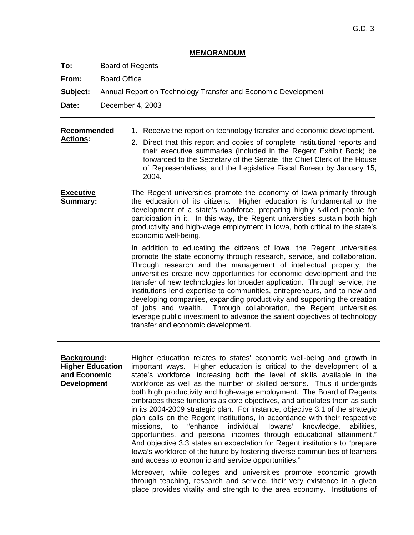## **MEMORANDUM**

**To:** Board of Regents

**From:** Board Office

**Subject:** Annual Report on Technology Transfer and Economic Development

**Date:** December 4, 2003

| Recommended<br><b>Actions:</b>                                               | 1. Receive the report on technology transfer and economic development.<br>2. Direct that this report and copies of complete institutional reports and<br>their executive summaries (included in the Regent Exhibit Book) be<br>forwarded to the Secretary of the Senate, the Chief Clerk of the House<br>of Representatives, and the Legislative Fiscal Bureau by January 15,<br>2004.                                                                                                                                                                                                                                                                                                                                                                                                                                                                                                                                                                                                                                                                                                                                                    |
|------------------------------------------------------------------------------|-------------------------------------------------------------------------------------------------------------------------------------------------------------------------------------------------------------------------------------------------------------------------------------------------------------------------------------------------------------------------------------------------------------------------------------------------------------------------------------------------------------------------------------------------------------------------------------------------------------------------------------------------------------------------------------------------------------------------------------------------------------------------------------------------------------------------------------------------------------------------------------------------------------------------------------------------------------------------------------------------------------------------------------------------------------------------------------------------------------------------------------------|
| <b>Executive</b><br>Summary:                                                 | The Regent universities promote the economy of lowa primarily through<br>the education of its citizens. Higher education is fundamental to the<br>development of a state's workforce, preparing highly skilled people for<br>participation in it. In this way, the Regent universities sustain both high<br>productivity and high-wage employment in lowa, both critical to the state's<br>economic well-being.                                                                                                                                                                                                                                                                                                                                                                                                                                                                                                                                                                                                                                                                                                                           |
|                                                                              | In addition to educating the citizens of Iowa, the Regent universities<br>promote the state economy through research, service, and collaboration.<br>Through research and the management of intellectual property, the<br>universities create new opportunities for economic development and the<br>transfer of new technologies for broader application. Through service, the<br>institutions lend expertise to communities, entrepreneurs, and to new and<br>developing companies, expanding productivity and supporting the creation<br>Through collaboration, the Regent universities<br>of jobs and wealth.<br>leverage public investment to advance the salient objectives of technology<br>transfer and economic development.                                                                                                                                                                                                                                                                                                                                                                                                      |
| Background:<br><b>Higher Education</b><br>and Economic<br><b>Development</b> | Higher education relates to states' economic well-being and growth in<br>Higher education is critical to the development of a<br>important ways.<br>state's workforce, increasing both the level of skills available in the<br>workforce as well as the number of skilled persons. Thus it undergirds<br>both high productivity and high-wage employment. The Board of Regents<br>embraces these functions as core objectives, and articulates them as such<br>in its 2004-2009 strategic plan. For instance, objective 3.1 of the strategic<br>plan calls on the Regent institutions, in accordance with their respective<br>missions, to "enhance individual lowans' knowledge, abilities,<br>opportunities, and personal incomes through educational attainment."<br>And objective 3.3 states an expectation for Regent institutions to "prepare"<br>lowa's workforce of the future by fostering diverse communities of learners<br>and access to economic and service opportunities."<br>Moreover, while colleges and universities promote economic growth<br>through teaching, research and service, their very existence in a given |

place provides vitality and strength to the area economy. Institutions of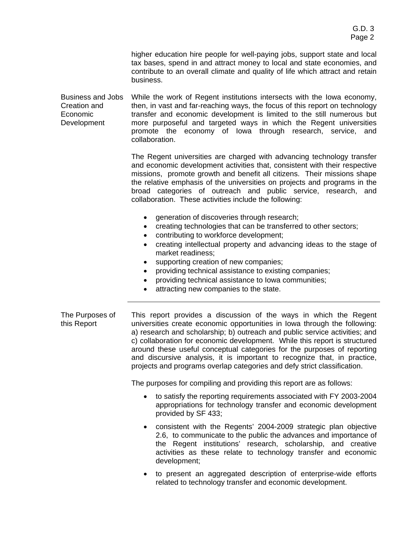higher education hire people for well-paying jobs, support state and local tax bases, spend in and attract money to local and state economies, and contribute to an overall climate and quality of life which attract and retain business.

Business and Jobs Creation and Economic Development While the work of Regent institutions intersects with the Iowa economy, then, in vast and far-reaching ways, the focus of this report on technology transfer and economic development is limited to the still numerous but more purposeful and targeted ways in which the Regent universities promote the economy of Iowa through research, service, and collaboration.

> The Regent universities are charged with advancing technology transfer and economic development activities that, consistent with their respective missions, promote growth and benefit all citizens. Their missions shape the relative emphasis of the universities on projects and programs in the broad categories of outreach and public service, research, and collaboration. These activities include the following:

- generation of discoveries through research;
- creating technologies that can be transferred to other sectors;
- contributing to workforce development;
- creating intellectual property and advancing ideas to the stage of market readiness;
- supporting creation of new companies;
- providing technical assistance to existing companies;
- providing technical assistance to Iowa communities;
- attracting new companies to the state.

The Purposes of this Report This report provides a discussion of the ways in which the Regent universities create economic opportunities in Iowa through the following: a) research and scholarship; b) outreach and public service activities; and c) collaboration for economic development. While this report is structured around these useful conceptual categories for the purposes of reporting and discursive analysis, it is important to recognize that, in practice, projects and programs overlap categories and defy strict classification.

The purposes for compiling and providing this report are as follows:

- to satisfy the reporting requirements associated with FY 2003-2004 appropriations for technology transfer and economic development provided by SF 433;
- consistent with the Regents' 2004-2009 strategic plan objective 2.6, to communicate to the public the advances and importance of the Regent institutions' research, scholarship, and creative activities as these relate to technology transfer and economic development;
- to present an aggregated description of enterprise-wide efforts related to technology transfer and economic development.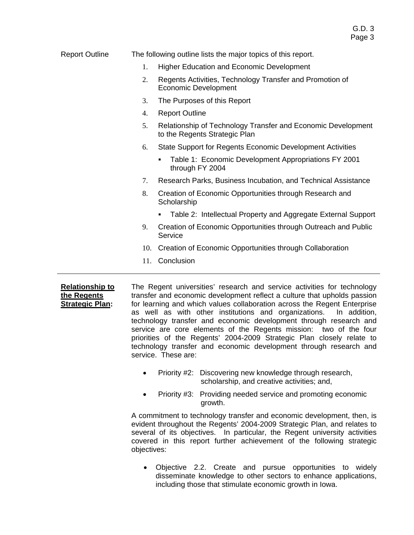| <b>Report Outline</b> | The following outline lists the major topics of this report. |                                                                                               |  |  |  |  |
|-----------------------|--------------------------------------------------------------|-----------------------------------------------------------------------------------------------|--|--|--|--|
|                       | 1.                                                           | <b>Higher Education and Economic Development</b>                                              |  |  |  |  |
|                       | 2.                                                           | Regents Activities, Technology Transfer and Promotion of<br><b>Economic Development</b>       |  |  |  |  |
|                       | 3.                                                           | The Purposes of this Report                                                                   |  |  |  |  |
|                       | 4.                                                           | <b>Report Outline</b>                                                                         |  |  |  |  |
|                       | 5.                                                           | Relationship of Technology Transfer and Economic Development<br>to the Regents Strategic Plan |  |  |  |  |
|                       | 6.                                                           | State Support for Regents Economic Development Activities                                     |  |  |  |  |
|                       |                                                              | Table 1: Economic Development Appropriations FY 2001<br>through FY 2004                       |  |  |  |  |
|                       | 7.                                                           | Research Parks, Business Incubation, and Technical Assistance                                 |  |  |  |  |
|                       | 8.                                                           | Creation of Economic Opportunities through Research and<br>Scholarship                        |  |  |  |  |
|                       |                                                              | Table 2: Intellectual Property and Aggregate External Support<br>٠                            |  |  |  |  |
|                       | 9.                                                           | Creation of Economic Opportunities through Outreach and Public<br>Service                     |  |  |  |  |
|                       | 10.                                                          | Creation of Economic Opportunities through Collaboration                                      |  |  |  |  |
|                       | 11.                                                          | Conclusion                                                                                    |  |  |  |  |
|                       |                                                              |                                                                                               |  |  |  |  |

**Relationship to the Regents Strategic Plan:**  The Regent universities' research and service activities for technology transfer and economic development reflect a culture that upholds passion for learning and which values collaboration across the Regent Enterprise as well as with other institutions and organizations. In addition, technology transfer and economic development through research and service are core elements of the Regents mission: two of the four priorities of the Regents' 2004-2009 Strategic Plan closely relate to technology transfer and economic development through research and service. These are:

- Priority #2: Discovering new knowledge through research, scholarship, and creative activities; and,
- Priority #3: Providing needed service and promoting economic growth.

A commitment to technology transfer and economic development, then, is evident throughout the Regents' 2004-2009 Strategic Plan, and relates to several of its objectives. In particular, the Regent university activities covered in this report further achievement of the following strategic objectives:

• Objective 2.2. Create and pursue opportunities to widely disseminate knowledge to other sectors to enhance applications, including those that stimulate economic growth in Iowa.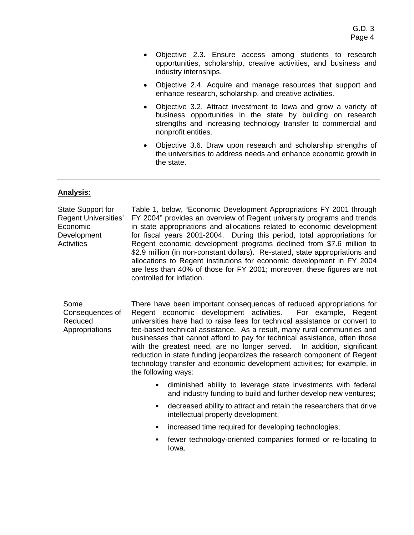- Objective 2.3. Ensure access among students to research opportunities, scholarship, creative activities, and business and industry internships.
- Objective 2.4. Acquire and manage resources that support and enhance research, scholarship, and creative activities.
- Objective 3.2. Attract investment to Iowa and grow a variety of business opportunities in the state by building on research strengths and increasing technology transfer to commercial and nonprofit entities.
- Objective 3.6. Draw upon research and scholarship strengths of the universities to address needs and enhance economic growth in the state.

### **Analysis:**

State Support for Regent Universities' Economic Development **Activities** Table 1, below, "Economic Development Appropriations FY 2001 through FY 2004" provides an overview of Regent university programs and trends in state appropriations and allocations related to economic development for fiscal years 2001-2004. During this period, total appropriations for Regent economic development programs declined from \$7.6 million to \$2.9 million (in non-constant dollars). Re-stated, state appropriations and allocations to Regent institutions for economic development in FY 2004 are less than 40% of those for FY 2001; moreover, these figures are not controlled for inflation.

Some Consequences of Reduced Appropriations There have been important consequences of reduced appropriations for Regent economic development activities. For example, Regent universities have had to raise fees for technical assistance or convert to fee-based technical assistance. As a result, many rural communities and businesses that cannot afford to pay for technical assistance, often those with the greatest need, are no longer served. In addition, significant reduction in state funding jeopardizes the research component of Regent technology transfer and economic development activities; for example, in the following ways:

- ! diminished ability to leverage state investments with federal and industry funding to build and further develop new ventures;
- ! decreased ability to attract and retain the researchers that drive intellectual property development;
- increased time required for developing technologies;
- ! fewer technology-oriented companies formed or re-locating to Iowa.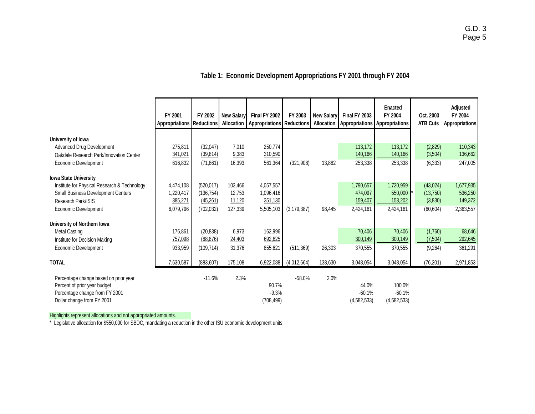# **Table 1: Economic Development Appropriations FY 2001 through FY 2004**

|                                                                                                                                       | FY 2001<br><b>Appropriations Reductions</b> | FY 2002    | <b>New Salary</b><br>Allocation | Final FY 2002<br>Appropriations Reductions Allocation | FY 2003       | <b>New Salary</b> | Final FY 2003<br><b>Appropriations</b> | <b>Enacted</b><br>FY 2004<br>Appropriations | Oct. 2003<br><b>ATB Cuts</b> | Adjusted<br>FY 2004<br><b>Appropriations</b> |
|---------------------------------------------------------------------------------------------------------------------------------------|---------------------------------------------|------------|---------------------------------|-------------------------------------------------------|---------------|-------------------|----------------------------------------|---------------------------------------------|------------------------------|----------------------------------------------|
| University of Iowa                                                                                                                    |                                             |            |                                 |                                                       |               |                   |                                        |                                             |                              |                                              |
| Advanced Drug Development                                                                                                             | 275,811                                     | (32,047)   | 7,010                           | 250,774                                               |               |                   | 113,172                                | 113,172                                     | (2,829)                      | 110,343                                      |
| Oakdale Research Park/Innovation Center                                                                                               | 341,021                                     | (39, 814)  | 9,383                           | 310,590                                               |               |                   | 140,166                                | 140,166                                     | (3,504)                      | 136,662                                      |
| Economic Development                                                                                                                  | 616,832                                     | (71, 861)  | 16,393                          | 561,364                                               | (321, 908)    | 13,882            | 253,338                                | 253,338                                     | (6, 333)                     | 247,005                                      |
| <b>Iowa State University</b>                                                                                                          |                                             |            |                                 |                                                       |               |                   |                                        |                                             |                              |                                              |
| Institute for Physical Research & Technology                                                                                          | 4,474,108                                   | (520, 017) | 103.466                         | 4,057,557                                             |               |                   | 1,790,657                              | 1,720,959                                   | (43, 024)                    | 1,677,935                                    |
| <b>Small Business Development Centers</b>                                                                                             | 1,220,417                                   | (136, 754) | 12,753                          | 1,096,416                                             |               |                   | 474,097                                | 550,000                                     | (13, 750)                    | 536,250                                      |
| Research Park/ISIS                                                                                                                    | 385,271                                     | (45,261)   | 11,120                          | 351,130                                               |               |                   | 159,407                                | 153,202                                     | (3,830)                      | 149,372                                      |
| Economic Development                                                                                                                  | 6,079,796                                   | (702, 032) | 127,339                         | 5,505,103                                             | (3, 179, 387) | 98,445            | 2,424,161                              | 2,424,161                                   | (60, 604)                    | 2,363,557                                    |
| University of Northern Iowa                                                                                                           |                                             |            |                                 |                                                       |               |                   |                                        |                                             |                              |                                              |
| <b>Metal Casting</b>                                                                                                                  | 176,861                                     | (20.838)   | 6.973                           | 162,996                                               |               |                   | 70,406                                 | 70,406                                      | (1,760)                      | 68,646                                       |
| Institute for Decision Making                                                                                                         | 757,098                                     | (88, 876)  | 24,403                          | 692,625                                               |               |                   | 300,149                                | 300,149                                     | (7, 504)                     | 292,645                                      |
| Economic Development                                                                                                                  | 933,959                                     | (109,714)  | 31,376                          | 855,621                                               | (511, 369)    | 26,303            | 370,555                                | 370,555                                     | (9,264)                      | 361,291                                      |
| <b>TOTAL</b>                                                                                                                          | 7,630,587                                   | (883, 607) | 175,108                         | 6,922,088                                             | (4,012,664)   | 138,630           | 3,048,054                              | 3,048,054                                   | (76, 201)                    | 2,971,853                                    |
| Percentage change based on prior year<br>Percent of prior year budget<br>Percentage change from FY 2001<br>Dollar change from FY 2001 |                                             | $-11.6%$   | 2.3%                            | 90.7%<br>$-9.3%$<br>(708, 499)                        | $-58.0%$      | 2.0%              | 44.0%<br>$-60.1%$<br>(4, 582, 533)     | 100.0%<br>$-60.1%$<br>(4, 582, 533)         |                              |                                              |

Highlights represent allocations and not appropriated amounts.

\* Legislative allocation for \$550,000 for SBDC, mandating a reduction in the other ISU economic development units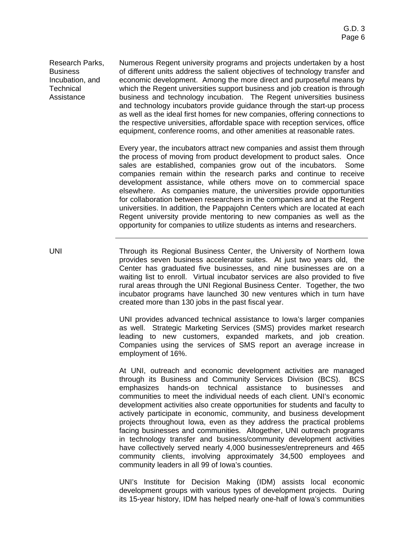Research Parks, **Business** Incubation, and **Technical** Assistance

Numerous Regent university programs and projects undertaken by a host of different units address the salient objectives of technology transfer and economic development. Among the more direct and purposeful means by which the Regent universities support business and job creation is through business and technology incubation. The Regent universities business and technology incubators provide guidance through the start-up process as well as the ideal first homes for new companies, offering connections to the respective universities, affordable space with reception services, office equipment, conference rooms, and other amenities at reasonable rates.

Every year, the incubators attract new companies and assist them through the process of moving from product development to product sales. Once sales are established, companies grow out of the incubators. Some companies remain within the research parks and continue to receive development assistance, while others move on to commercial space elsewhere. As companies mature, the universities provide opportunities for collaboration between researchers in the companies and at the Regent universities. In addition, the Pappajohn Centers which are located at each Regent university provide mentoring to new companies as well as the opportunity for companies to utilize students as interns and researchers.

UNI Through its Regional Business Center, the University of Northern Iowa provides seven business accelerator suites. At just two years old, the Center has graduated five businesses, and nine businesses are on a waiting list to enroll. Virtual incubator services are also provided to five rural areas through the UNI Regional Business Center. Together, the two incubator programs have launched 30 new ventures which in turn have created more than 130 jobs in the past fiscal year.

> UNI provides advanced technical assistance to Iowa's larger companies as well. Strategic Marketing Services (SMS) provides market research leading to new customers, expanded markets, and job creation. Companies using the services of SMS report an average increase in employment of 16%.

> At UNI, outreach and economic development activities are managed through its Business and Community Services Division (BCS). BCS emphasizes hands-on technical assistance to businesses and communities to meet the individual needs of each client. UNI's economic development activities also create opportunities for students and faculty to actively participate in economic, community, and business development projects throughout Iowa, even as they address the practical problems facing businesses and communities. Altogether, UNI outreach programs in technology transfer and business/community development activities have collectively served nearly 4,000 businesses/entrepreneurs and 465 community clients, involving approximately 34,500 employees and community leaders in all 99 of Iowa's counties.

> UNI's Institute for Decision Making (IDM) assists local economic development groups with various types of development projects. During its 15-year history, IDM has helped nearly one-half of Iowa's communities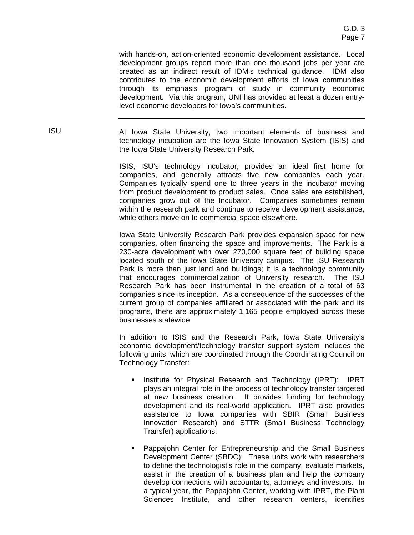with hands-on, action-oriented economic development assistance. Local development groups report more than one thousand jobs per year are created as an indirect result of IDM's technical guidance. IDM also contributes to the economic development efforts of Iowa communities through its emphasis program of study in community economic development. Via this program, UNI has provided at least a dozen entrylevel economic developers for Iowa's communities.

ISU At Iowa State University, two important elements of business and technology incubation are the Iowa State Innovation System (ISIS) and the Iowa State University Research Park.

> ISIS, ISU's technology incubator, provides an ideal first home for companies, and generally attracts five new companies each year. Companies typically spend one to three years in the incubator moving from product development to product sales. Once sales are established, companies grow out of the Incubator. Companies sometimes remain within the research park and continue to receive development assistance, while others move on to commercial space elsewhere.

> Iowa State University Research Park provides expansion space for new companies, often financing the space and improvements. The Park is a 230-acre development with over 270,000 square feet of building space located south of the Iowa State University campus. The ISU Research Park is more than just land and buildings; it is a technology community that encourages commercialization of University research. The ISU Research Park has been instrumental in the creation of a total of 63 companies since its inception. As a consequence of the successes of the current group of companies affiliated or associated with the park and its programs, there are approximately 1,165 people employed across these businesses statewide.

> In addition to ISIS and the Research Park, Iowa State University's economic development/technology transfer support system includes the following units, which are coordinated through the Coordinating Council on Technology Transfer:

- Institute for Physical Research and Technology (IPRT): IPRT plays an integral role in the process of technology transfer targeted at new business creation. It provides funding for technology development and its real-world application. IPRT also provides assistance to Iowa companies with SBIR (Small Business Innovation Research) and STTR (Small Business Technology Transfer) applications.
- Pappajohn Center for Entrepreneurship and the Small Business Development Center (SBDC): These units work with researchers to define the technologist's role in the company, evaluate markets, assist in the creation of a business plan and help the company develop connections with accountants, attorneys and investors. In a typical year, the Pappajohn Center, working with IPRT, the Plant Sciences Institute, and other research centers, identifies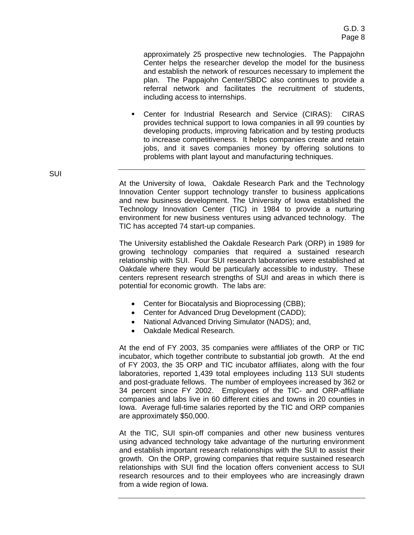approximately 25 prospective new technologies. The Pappajohn Center helps the researcher develop the model for the business and establish the network of resources necessary to implement the plan. The Pappajohn Center/SBDC also continues to provide a referral network and facilitates the recruitment of students, including access to internships.

! Center for Industrial Research and Service (CIRAS): CIRAS provides technical support to Iowa companies in all 99 counties by developing products, improving fabrication and by testing products to increase competitiveness. It helps companies create and retain jobs, and it saves companies money by offering solutions to problems with plant layout and manufacturing techniques.

At the University of Iowa, Oakdale Research Park and the Technology Innovation Center support technology transfer to business applications and new business development. The University of Iowa established the Technology Innovation Center (TIC) in 1984 to provide a nurturing environment for new business ventures using advanced technology. The TIC has accepted 74 start-up companies.

The University established the Oakdale Research Park (ORP) in 1989 for growing technology companies that required a sustained research relationship with SUI. Four SUI research laboratories were established at Oakdale where they would be particularly accessible to industry. These centers represent research strengths of SUI and areas in which there is potential for economic growth. The labs are:

- Center for Biocatalysis and Bioprocessing (CBB);
- Center for Advanced Drug Development (CADD);
- National Advanced Driving Simulator (NADS); and,
- Oakdale Medical Research.

At the end of FY 2003, 35 companies were affiliates of the ORP or TIC incubator, which together contribute to substantial job growth. At the end of FY 2003, the 35 ORP and TIC incubator affiliates, along with the four laboratories, reported 1,439 total employees including 113 SUI students and post-graduate fellows. The number of employees increased by 362 or 34 percent since FY 2002. Employees of the TIC- and ORP-affiliate companies and labs live in 60 different cities and towns in 20 counties in Iowa. Average full-time salaries reported by the TIC and ORP companies are approximately \$50,000.

At the TIC, SUI spin-off companies and other new business ventures using advanced technology take advantage of the nurturing environment and establish important research relationships with the SUI to assist their growth. On the ORP, growing companies that require sustained research relationships with SUI find the location offers convenient access to SUI research resources and to their employees who are increasingly drawn from a wide region of Iowa.

SUI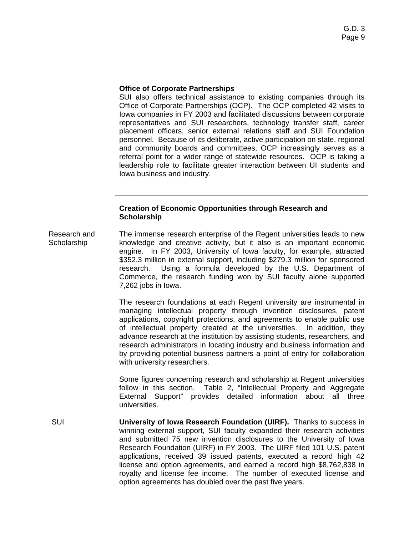#### **Office of Corporate Partnerships**

SUI also offers technical assistance to existing companies through its Office of Corporate Partnerships (OCP). The OCP completed 42 visits to Iowa companies in FY 2003 and facilitated discussions between corporate representatives and SUI researchers, technology transfer staff, career placement officers, senior external relations staff and SUI Foundation personnel. Because of its deliberate, active participation on state, regional and community boards and committees, OCP increasingly serves as a referral point for a wider range of statewide resources. OCP is taking a leadership role to facilitate greater interaction between UI students and Iowa business and industry.

#### **Creation of Economic Opportunities through Research and Scholarship**

Research and **Scholarship** The immense research enterprise of the Regent universities leads to new knowledge and creative activity, but it also is an important economic engine. In FY 2003, University of Iowa faculty, for example, attracted \$352.3 million in external support, including \$279.3 million for sponsored research. Using a formula developed by the U.S. Department of Commerce, the research funding won by SUI faculty alone supported 7,262 jobs in Iowa.

> The research foundations at each Regent university are instrumental in managing intellectual property through invention disclosures, patent applications, copyright protections, and agreements to enable public use of intellectual property created at the universities. In addition, they advance research at the institution by assisting students, researchers, and research administrators in locating industry and business information and by providing potential business partners a point of entry for collaboration with university researchers.

> Some figures concerning research and scholarship at Regent universities follow in this section. Table 2, "Intellectual Property and Aggregate External Support" provides detailed information about all three universities.

SUI **University of Iowa Research Foundation (UIRF).** Thanks to success in winning external support, SUI faculty expanded their research activities and submitted 75 new invention disclosures to the University of Iowa Research Foundation (UIRF) in FY 2003. The UIRF filed 101 U.S. patent applications, received 39 issued patents, executed a record high 42 license and option agreements, and earned a record high \$8,762,838 in royalty and license fee income. The number of executed license and option agreements has doubled over the past five years.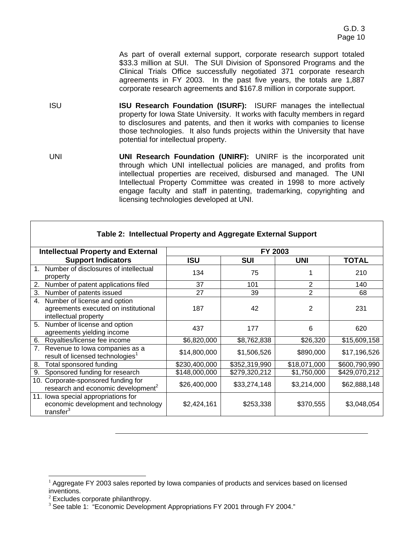As part of overall external support, corporate research support totaled \$33.3 million at SUI. The SUI Division of Sponsored Programs and the Clinical Trials Office successfully negotiated 371 corporate research agreements in FY 2003. In the past five years, the totals are 1,887 corporate research agreements and \$167.8 million in corporate support.

- ISU **ISU Research Foundation (ISURF):** ISURF manages the intellectual property for Iowa State University. It works with faculty members in regard to disclosures and patents, and then it works with companies to license those technologies. It also funds projects within the University that have potential for intellectual property.
- UNI **UNI Research Foundation (UNIRF):** UNIRF is the incorporated unit through which UNI intellectual policies are managed, and profits from intellectual properties are received, disbursed and managed. The UNI Intellectual Property Committee was created in 1998 to more actively engage faculty and staff in patenting, trademarking, copyrighting and licensing technologies developed at UNI.

| <b>Intellectual Property and External</b>                                                           | FY 2003       |               |              |               |  |  |  |  |
|-----------------------------------------------------------------------------------------------------|---------------|---------------|--------------|---------------|--|--|--|--|
| <b>Support Indicators</b>                                                                           | ISU           | <b>SUI</b>    | <b>UNI</b>   | <b>TOTAL</b>  |  |  |  |  |
| Number of disclosures of intellectual<br>1<br>property                                              | 134           | 75            |              | 210           |  |  |  |  |
| Number of patent applications filed<br>2.                                                           | 37            | 101           | 2            | 140           |  |  |  |  |
| 3.<br>Number of patents issued                                                                      | 27            | 39            | 2            | 68            |  |  |  |  |
| Number of license and option<br>4.<br>agreements executed on institutional<br>intellectual property | 187           | 42            | 2            | 231           |  |  |  |  |
| Number of license and option<br>5.<br>agreements yielding income                                    | 437           | 177           | 6            | 620           |  |  |  |  |
| Royalties/license fee income<br>6.                                                                  | \$6,820,000   | \$8,762,838   | \$26,320     | \$15,609,158  |  |  |  |  |
| Revenue to lowa companies as a<br>7.<br>result of licensed technologies <sup>1</sup>                | \$14,800,000  | \$1,506,526   | \$890,000    | \$17,196,526  |  |  |  |  |
| Total sponsored funding<br>8.                                                                       | \$230,400,000 | \$352,319,990 | \$18,071,000 | \$600,790,990 |  |  |  |  |
| Sponsored funding for research<br>9.                                                                | \$148,000,000 | \$279,320,212 | \$1,750,000  | \$429,070,212 |  |  |  |  |
| 10. Corporate-sponsored funding for<br>research and economic development <sup>2</sup>               | \$26,400,000  | \$33,274,148  | \$3,214,000  | \$62,888,148  |  |  |  |  |
| 11. Iowa special appropriations for<br>economic development and technology<br>transfer <sup>3</sup> | \$2,424,161   | \$253,338     | \$370,555    | \$3,048,054   |  |  |  |  |

### **Table 2: Intellectual Property and Aggregate External Support**

<sup>1</sup> Aggregate FY 2003 sales reported by Iowa companies of products and services based on licensed inventions.

 $2$  Excludes corporate philanthropy.

<sup>&</sup>lt;sup>3</sup> See table 1: "Economic Development Appropriations FY 2001 through FY 2004."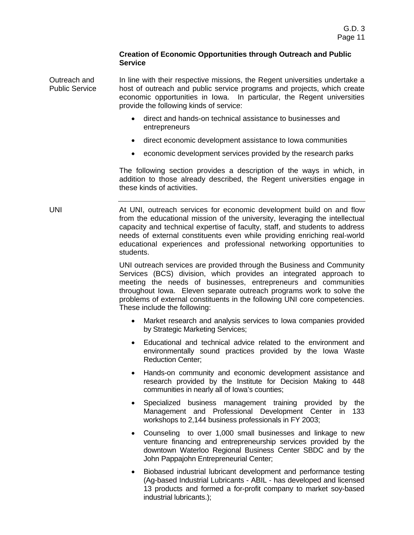#### **Creation of Economic Opportunities through Outreach and Public Service**

Outreach and Public Service In line with their respective missions, the Regent universities undertake a host of outreach and public service programs and projects, which create economic opportunities in Iowa. In particular, the Regent universities provide the following kinds of service:

- direct and hands-on technical assistance to businesses and entrepreneurs
- direct economic development assistance to Iowa communities
- economic development services provided by the research parks

The following section provides a description of the ways in which, in addition to those already described, the Regent universities engage in these kinds of activities.

UNI **At UNI, outreach services for economic development build on and flow** from the educational mission of the university, leveraging the intellectual capacity and technical expertise of faculty, staff, and students to address needs of external constituents even while providing enriching real-world educational experiences and professional networking opportunities to students.

> UNI outreach services are provided through the Business and Community Services (BCS) division, which provides an integrated approach to meeting the needs of businesses, entrepreneurs and communities throughout Iowa. Eleven separate outreach programs work to solve the problems of external constituents in the following UNI core competencies. These include the following:

- Market research and analysis services to Iowa companies provided by Strategic Marketing Services;
- Educational and technical advice related to the environment and environmentally sound practices provided by the Iowa Waste Reduction Center;
- Hands-on community and economic development assistance and research provided by the Institute for Decision Making to 448 communities in nearly all of Iowa's counties;
- Specialized business management training provided by the Management and Professional Development Center in 133 workshops to 2,144 business professionals in FY 2003;
- Counseling to over 1,000 small businesses and linkage to new venture financing and entrepreneurship services provided by the downtown Waterloo Regional Business Center SBDC and by the John Pappajohn Entrepreneurial Center;
- Biobased industrial lubricant development and performance testing (Ag-based Industrial Lubricants - ABIL - has developed and licensed 13 products and formed a for-profit company to market soy-based industrial lubricants.);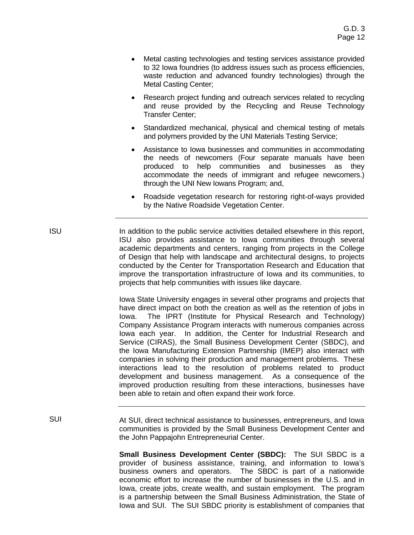- Metal casting technologies and testing services assistance provided to 32 Iowa foundries (to address issues such as process efficiencies, waste reduction and advanced foundry technologies) through the Metal Casting Center;
- Research project funding and outreach services related to recycling and reuse provided by the Recycling and Reuse Technology Transfer Center;
- Standardized mechanical, physical and chemical testing of metals and polymers provided by the UNI Materials Testing Service;
- Assistance to Iowa businesses and communities in accommodating the needs of newcomers (Four separate manuals have been produced to help communities and businesses as they accommodate the needs of immigrant and refugee newcomers.) through the UNI New Iowans Program; and,
- Roadside vegetation research for restoring right-of-ways provided by the Native Roadside Vegetation Center.
- ISU In addition to the public service activities detailed elsewhere in this report, ISU also provides assistance to Iowa communities through several academic departments and centers, ranging from projects in the College of Design that help with landscape and architectural designs, to projects conducted by the Center for Transportation Research and Education that improve the transportation infrastructure of Iowa and its communities, to projects that help communities with issues like daycare.

Iowa State University engages in several other programs and projects that have direct impact on both the creation as well as the retention of jobs in Iowa. The IPRT (Institute for Physical Research and Technology) Company Assistance Program interacts with numerous companies across Iowa each year. In addition, the Center for Industrial Research and Service (CIRAS), the Small Business Development Center (SBDC), and the Iowa Manufacturing Extension Partnership (IMEP) also interact with companies in solving their production and management problems. These interactions lead to the resolution of problems related to product development and business management. As a consequence of the improved production resulting from these interactions, businesses have been able to retain and often expand their work force.

SUI At SUI, direct technical assistance to businesses, entrepreneurs, and Iowa communities is provided by the Small Business Development Center and the John Pappajohn Entrepreneurial Center.

> **Small Business Development Center (SBDC):** The SUI SBDC is a provider of business assistance, training, and information to Iowa's business owners and operators. The SBDC is part of a nationwide economic effort to increase the number of businesses in the U.S. and in Iowa, create jobs, create wealth, and sustain employment. The program is a partnership between the Small Business Administration, the State of Iowa and SUI. The SUI SBDC priority is establishment of companies that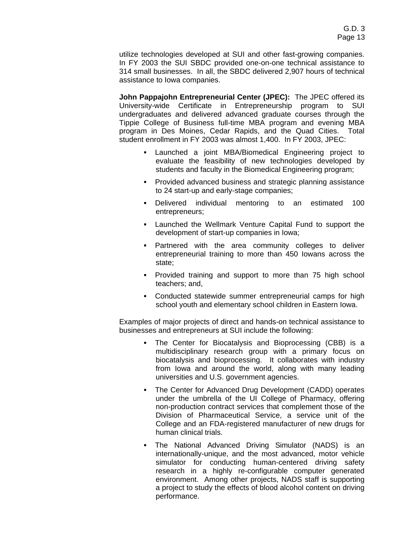utilize technologies developed at SUI and other fast-growing companies. In FY 2003 the SUI SBDC provided one-on-one technical assistance to 314 small businesses. In all, the SBDC delivered 2,907 hours of technical assistance to Iowa companies.

**John Pappajohn Entrepreneurial Center (JPEC):** The JPEC offered its University-wide Certificate in Entrepreneurship program to SUI undergraduates and delivered advanced graduate courses through the Tippie College of Business full-time MBA program and evening MBA program in Des Moines, Cedar Rapids, and the Quad Cities. Total student enrollment in FY 2003 was almost 1,400. In FY 2003, JPEC:

- Launched a joint MBA/Biomedical Engineering project to evaluate the feasibility of new technologies developed by students and faculty in the Biomedical Engineering program;
- Provided advanced business and strategic planning assistance to 24 start-up and early-stage companies;
- ! Delivered individual mentoring to an estimated 100 entrepreneurs;
- ! Launched the Wellmark Venture Capital Fund to support the development of start-up companies in Iowa;
- ! Partnered with the area community colleges to deliver entrepreneurial training to more than 450 Iowans across the state;
- ! Provided training and support to more than 75 high school teachers; and,
- ! Conducted statewide summer entrepreneurial camps for high school youth and elementary school children in Eastern Iowa.

Examples of major projects of direct and hands-on technical assistance to businesses and entrepreneurs at SUI include the following:

- ! The Center for Biocatalysis and Bioprocessing (CBB) is a multidisciplinary research group with a primary focus on biocatalysis and bioprocessing. It collaborates with industry from Iowa and around the world, along with many leading universities and U.S. government agencies.
- ! The Center for Advanced Drug Development (CADD) operates under the umbrella of the UI College of Pharmacy, offering non-production contract services that complement those of the Division of Pharmaceutical Service, a service unit of the College and an FDA-registered manufacturer of new drugs for human clinical trials.
- . The National Advanced Driving Simulator (NADS) is an internationally-unique, and the most advanced, motor vehicle simulator for conducting human-centered driving safety research in a highly re-configurable computer generated environment. Among other projects, NADS staff is supporting a project to study the effects of blood alcohol content on driving performance.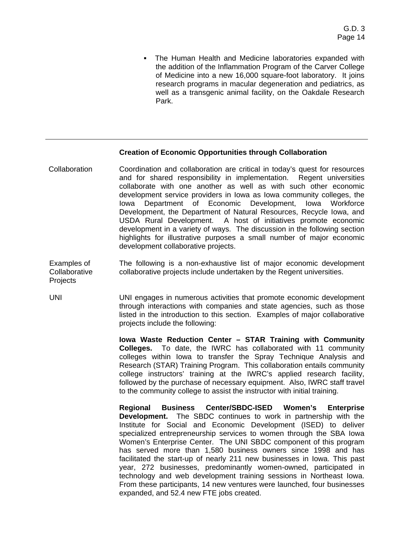! The Human Health and Medicine laboratories expanded with the addition of the Inflammation Program of the Carver College of Medicine into a new 16,000 square-foot laboratory. It joins research programs in macular degeneration and pediatrics, as well as a transgenic animal facility, on the Oakdale Research Park.

#### **Creation of Economic Opportunities through Collaboration**

- Collaboration Coordination and collaboration are critical in today's quest for resources and for shared responsibility in implementation. Regent universities collaborate with one another as well as with such other economic development service providers in Iowa as Iowa community colleges, the Iowa Department of Economic Development, Iowa Workforce Development, the Department of Natural Resources, Recycle Iowa, and USDA Rural Development. A host of initiatives promote economic development in a variety of ways. The discussion in the following section highlights for illustrative purposes a small number of major economic development collaborative projects.
- Examples of **Collaborative Projects** The following is a non-exhaustive list of major economic development collaborative projects include undertaken by the Regent universities.
- UNI UNI engages in numerous activities that promote economic development through interactions with companies and state agencies, such as those listed in the introduction to this section. Examples of major collaborative projects include the following:

**Iowa Waste Reduction Center – STAR Training with Community Colleges.** To date, the IWRC has collaborated with 11 community colleges within Iowa to transfer the Spray Technique Analysis and Research (STAR) Training Program. This collaboration entails community college instructors' training at the IWRC's applied research facility, followed by the purchase of necessary equipment. Also, IWRC staff travel to the community college to assist the instructor with initial training.

**Regional Business Center/SBDC-ISED Women's Enterprise Development.** The SBDC continues to work in partnership with the Institute for Social and Economic Development (ISED) to deliver specialized entrepreneurship services to women through the SBA Iowa Women's Enterprise Center. The UNI SBDC component of this program has served more than 1,580 business owners since 1998 and has facilitated the start-up of nearly 211 new businesses in Iowa. This past year, 272 businesses, predominantly women-owned, participated in technology and web development training sessions in Northeast Iowa. From these participants, 14 new ventures were launched, four businesses expanded, and 52.4 new FTE jobs created.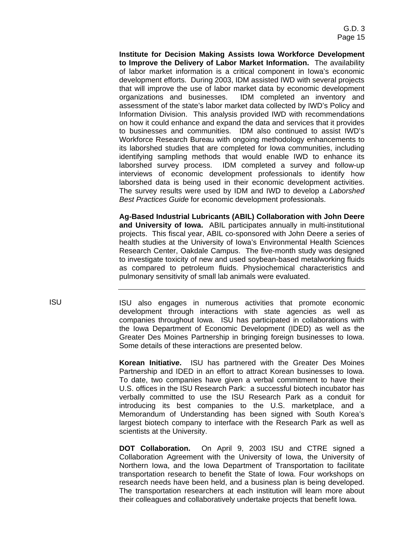**Institute for Decision Making Assists Iowa Workforce Development to Improve the Delivery of Labor Market Information.** The availability of labor market information is a critical component in Iowa's economic development efforts. During 2003, IDM assisted IWD with several projects that will improve the use of labor market data by economic development organizations and businesses. IDM completed an inventory and assessment of the state's labor market data collected by IWD's Policy and Information Division. This analysis provided IWD with recommendations on how it could enhance and expand the data and services that it provides to businesses and communities. IDM also continued to assist IWD's Workforce Research Bureau with ongoing methodology enhancements to its laborshed studies that are completed for Iowa communities, including identifying sampling methods that would enable IWD to enhance its laborshed survey process. IDM completed a survey and follow-up interviews of economic development professionals to identify how laborshed data is being used in their economic development activities. The survey results were used by IDM and IWD to develop a *Laborshed Best Practices Guide* for economic development professionals.

**Ag-Based Industrial Lubricants (ABIL) Collaboration with John Deere and University of Iowa.** ABIL participates annually in multi-institutional projects. This fiscal year, ABIL co-sponsored with John Deere a series of health studies at the University of Iowa's Environmental Health Sciences Research Center, Oakdale Campus. The five-month study was designed to investigate toxicity of new and used soybean-based metalworking fluids as compared to petroleum fluids. Physiochemical characteristics and pulmonary sensitivity of small lab animals were evaluated.

ISU ISU also engages in numerous activities that promote economic development through interactions with state agencies as well as companies throughout Iowa. ISU has participated in collaborations with the Iowa Department of Economic Development (IDED) as well as the Greater Des Moines Partnership in bringing foreign businesses to Iowa. Some details of these interactions are presented below.

> **Korean Initiativ***e***.** ISU has partnered with the Greater Des Moines Partnership and IDED in an effort to attract Korean businesses to Iowa. To date, two companies have given a verbal commitment to have their U.S. offices in the ISU Research Park: a successful biotech incubator has verbally committed to use the ISU Research Park as a conduit for introducing its best companies to the U.S. marketplace, and a Memorandum of Understanding has been signed with South Korea's largest biotech company to interface with the Research Park as well as scientists at the University.

> **DOT Collaboration.** On April 9, 2003 ISU and CTRE signed a Collaboration Agreement with the University of Iowa, the University of Northern Iowa, and the Iowa Department of Transportation to facilitate transportation research to benefit the State of Iowa. Four workshops on research needs have been held, and a business plan is being developed. The transportation researchers at each institution will learn more about their colleagues and collaboratively undertake projects that benefit Iowa.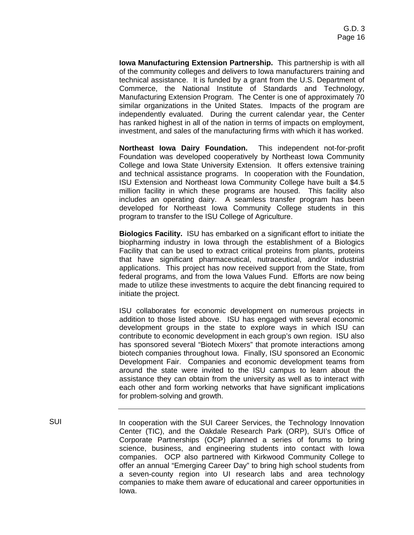**Iowa Manufacturing Extension Partnership.** This partnership is with all of the community colleges and delivers to Iowa manufacturers training and technical assistance. It is funded by a grant from the U.S. Department of Commerce, the National Institute of Standards and Technology, Manufacturing Extension Program. The Center is one of approximately 70 similar organizations in the United States. Impacts of the program are independently evaluated. During the current calendar year, the Center has ranked highest in all of the nation in terms of impacts on employment, investment, and sales of the manufacturing firms with which it has worked.

**Northeast Iowa Dairy Foundation.** This independent not-for-profit Foundation was developed cooperatively by Northeast Iowa Community College and Iowa State University Extension. It offers extensive training and technical assistance programs. In cooperation with the Foundation, ISU Extension and Northeast Iowa Community College have built a \$4.5 million facility in which these programs are housed. This facility also includes an operating dairy. A seamless transfer program has been developed for Northeast Iowa Community College students in this program to transfer to the ISU College of Agriculture.

**Biologics Facility.** ISU has embarked on a significant effort to initiate the biopharming industry in Iowa through the establishment of a Biologics Facility that can be used to extract critical proteins from plants, proteins that have significant pharmaceutical, nutraceutical, and/or industrial applications. This project has now received support from the State, from federal programs, and from the Iowa Values Fund. Efforts are now being made to utilize these investments to acquire the debt financing required to initiate the project.

ISU collaborates for economic development on numerous projects in addition to those listed above. ISU has engaged with several economic development groups in the state to explore ways in which ISU can contribute to economic development in each group's own region. ISU also has sponsored several "Biotech Mixers" that promote interactions among biotech companies throughout Iowa. Finally, ISU sponsored an Economic Development Fair. Companies and economic development teams from around the state were invited to the ISU campus to learn about the assistance they can obtain from the university as well as to interact with each other and form working networks that have significant implications for problem-solving and growth.

SUI **In cooperation with the SUI Career Services**, the Technology Innovation Center (TIC), and the Oakdale Research Park (ORP), SUI's Office of Corporate Partnerships (OCP) planned a series of forums to bring science, business, and engineering students into contact with Iowa companies. OCP also partnered with Kirkwood Community College to offer an annual "Emerging Career Day" to bring high school students from a seven-county region into UI research labs and area technology companies to make them aware of educational and career opportunities in Iowa.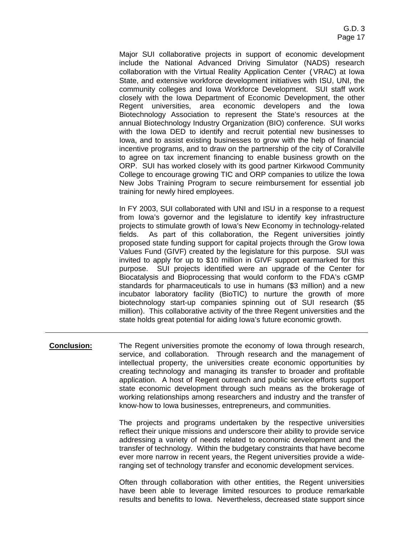Major SUI collaborative projects in support of economic development include the National Advanced Driving Simulator (NADS) research collaboration with the Virtual Reality Application Center (VRAC) at Iowa State, and extensive workforce development initiatives with ISU, UNI, the community colleges and Iowa Workforce Development. SUI staff work closely with the Iowa Department of Economic Development, the other Regent universities, area economic developers and the Iowa Biotechnology Association to represent the State's resources at the annual Biotechnology Industry Organization (BIO) conference. SUI works with the Iowa DED to identify and recruit potential new businesses to Iowa, and to assist existing businesses to grow with the help of financial incentive programs, and to draw on the partnership of the city of Coralville to agree on tax increment financing to enable business growth on the ORP. SUI has worked closely with its good partner Kirkwood Community College to encourage growing TIC and ORP companies to utilize the Iowa New Jobs Training Program to secure reimbursement for essential job training for newly hired employees.

In FY 2003, SUI collaborated with UNI and ISU in a response to a request from Iowa's governor and the legislature to identify key infrastructure projects to stimulate growth of Iowa's New Economy in technology-related fields. As part of this collaboration, the Regent universities jointly proposed state funding support for capital projects through the Grow Iowa Values Fund (GIVF) created by the legislature for this purpose. SUI was invited to apply for up to \$10 million in GIVF support earmarked for this purpose. SUI projects identified were an upgrade of the Center for Biocatalysis and Bioprocessing that would conform to the FDA's cGMP standards for pharmaceuticals to use in humans (\$3 million) and a new incubator laboratory facility (BioTIC) to nurture the growth of more biotechnology start-up companies spinning out of SUI research (\$5 million). This collaborative activity of the three Regent universities and the state holds great potential for aiding Iowa's future economic growth.

**Conclusion:** The Regent universities promote the economy of Iowa through research, service, and collaboration. Through research and the management of intellectual property, the universities create economic opportunities by creating technology and managing its transfer to broader and profitable application. A host of Regent outreach and public service efforts support state economic development through such means as the brokerage of working relationships among researchers and industry and the transfer of know-how to Iowa businesses, entrepreneurs, and communities.

> The projects and programs undertaken by the respective universities reflect their unique missions and underscore their ability to provide service addressing a variety of needs related to economic development and the transfer of technology. Within the budgetary constraints that have become ever more narrow in recent years, the Regent universities provide a wideranging set of technology transfer and economic development services.

> Often through collaboration with other entities, the Regent universities have been able to leverage limited resources to produce remarkable results and benefits to Iowa. Nevertheless, decreased state support since